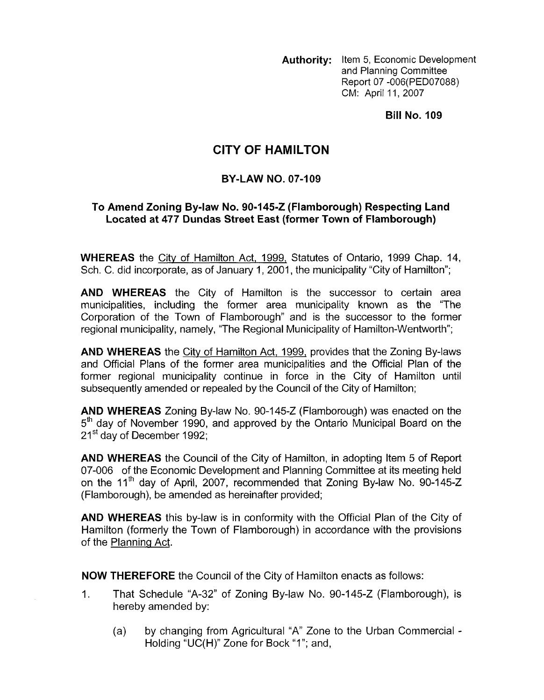**Authority:** Item 5, Economic Development and Planning Committee Report 07 -006(PED07088) CM: April 11, 2007

**Bill No. I09** 

## **CITY OF HAMILTON**

## **BY-LAW NO. 07-109**

## **To Amend Zoning By-law No. 90-145-2 (Flamborough) Respecting Land Located at 477 Dundas Street East (former Town of Flamborough)**

**WHEREAS** the City of Hamilton Act, 1999, Statutes of Ontario, 1999 Chap. 14, Sch. C. did incorporate, as of January 1, 2001, the municipality "City of Hamilton";

**AND WHEREAS** the City of Hamilton is the successor to certain area municipalities, including the former area municipality known as the "The Corporation of the Town of Flamborough" and is the successor to the former regional municipality, namely, "The Regional Municipality of Hamilton-Wentworth";

**AND WHEREAS** the City of Hamilton Act, 1999, provides that the Zoning By-laws and Official Plans of the former area municipalities and the Official Plan of the former regional municipality continue in force in the City of Hamilton until subsequently amended or repealed by the Council of the City of Hamilton;

**AND WHEREAS** Zoning By-law No. 90-145-2 (Flamborough) was enacted on the 5<sup>th</sup> day of November 1990, and approved by the Ontario Municipal Board on the 21<sup>st</sup> day of December 1992;

**AND WHEREAS** the Council of the City of Hamilton, in adopting Item 5 of Report 07-006 of the Economic Development and Planning Committee at its meeting held on the 11<sup>th</sup> day of April, 2007, recommended that Zoning By-law No. 90-145-Z (Flamborough), be amended as hereinafter provided;

**AND WHEREAS** this by-law is in conformity with the Official Plan of the City of Hamilton (formerly the Town of Flamborough) in accordance with the provisions of the Planning Act.

**NOW THEREFORE** the Council of the City of Hamilton enacts as follows:

- 1. That Schedule "A-32" of Zoning By-law No. 90-145-2 (Flamborough), is hereby amended by:
	- (a) by changing from Agricultural "A" Zone to the Urban Commercial Holding "UC(H)" Zone for Bock "I"; and,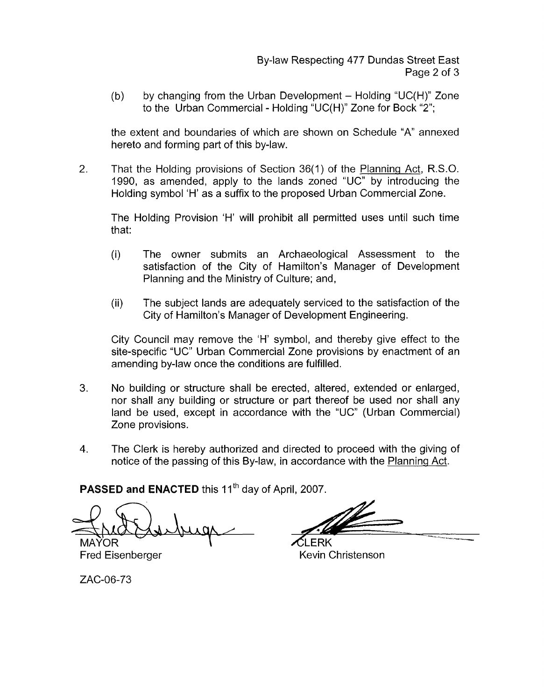(b) by changing from the Urban Development  $-$  Holding "UC(H)" Zone to the Urban Commercial - Holding "UC(H)" Zone for Bock "2";

the extent and boundaries of which are shown on Schedule "A" annexed hereto and forming part of this by-law.

2. That the Holding provisions of Section 36(1) of the Planning Act, R.S.O. 1990, as amended, apply to the lands zoned "UC" by introducing the Holding symbol 'H' as a suffix to the proposed Urban Commercial Zone.

The Holding Provision 'H' will prohibit all permitted uses until such time that:

- (i) The owner submits an Archaeological Assessment to the satisfaction of the City of Hamilton's Manager of Development Planning and the Ministry of Culture; and,
- (ii) The subject lands are adequately sewiced to the satisfaction of the City of Hamilton's Manager of Development Engineering.

City Council may remove the 'H' symbol, and thereby give effect to the site-specific "UC" Urban Commercial Zone provisions by enactment of an amending by-law once the conditions are fulfilled.

- **3.** No building or structure shall be erected, altered, extended or enlarged, nor shall any building or structure or part thereof be used nor shall any land be used, except in accordance with the "UC" (Urban Commercial) Zone provisions.
- **4.** The Clerk is hereby authorized and directed to proceed with the giving of notice of the passing of this By-law, in accordance with the Planning Act.

PASSED and ENACTED this 11<sup>th</sup> day of April, 2007.

**MAYOR** 

**FRK** Fred Eisenberger Kevin Christenson

ZAC-06-73